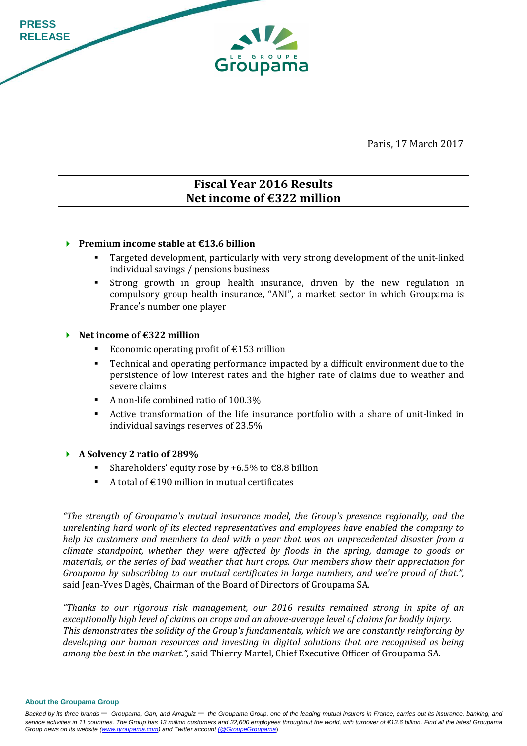Paris, 17 March 2017

# **Fiscal Year 2016 Results Net income of €322 million**

Groupama

### **Premium income stable at €13.6 billion**

- Targeted development, particularly with very strong development of the unit-linked individual savings / pensions business
- Strong growth in group health insurance, driven by the new regulation in compulsory group health insurance, "ANI", a market sector in which Groupama is France's number one player

#### **Net income of €322 million**

**PRESS RELEASE** 

- Economic operating profit of  $\epsilon$ 153 million
- Technical and operating performance impacted by a difficult environment due to the persistence of low interest rates and the higher rate of claims due to weather and severe claims
- A non-life combined ratio of 100.3%
- Active transformation of the life insurance portfolio with a share of unit-linked in individual savings reserves of 23.5%

#### **A Solvency 2 ratio of 289%**

- Shareholders' equity rose by  $+6.5\%$  to  $\text{\textsterling}8.8$  billion
- A total of  $\epsilon$ 190 million in mutual certificates

*"The strength of Groupama's mutual insurance model, the Group's presence regionally, and the unrelenting hard work of its elected representatives and employees have enabled the company to help its customers and members to deal with a year that was an unprecedented disaster from a climate standpoint, whether they were affected by floods in the spring, damage to goods or materials, or the series of bad weather that hurt crops. Our members show their appreciation for Groupama by subscribing to our mutual certificates in large numbers, and we're proud of that.",* said Jean-Yves Dagès, Chairman of the Board of Directors of Groupama SA.

*"Thanks to our rigorous risk management, our 2016 results remained strong in spite of an exceptionally high level of claims on crops and an above-average level of claims for bodily injury. This demonstrates the solidity of the Group's fundamentals, which we are constantly reinforcing by developing our human resources and investing in digital solutions that are recognised as being among the best in the market.",* said Thierry Martel, Chief Executive Officer of Groupama SA.

**About the Groupama Group**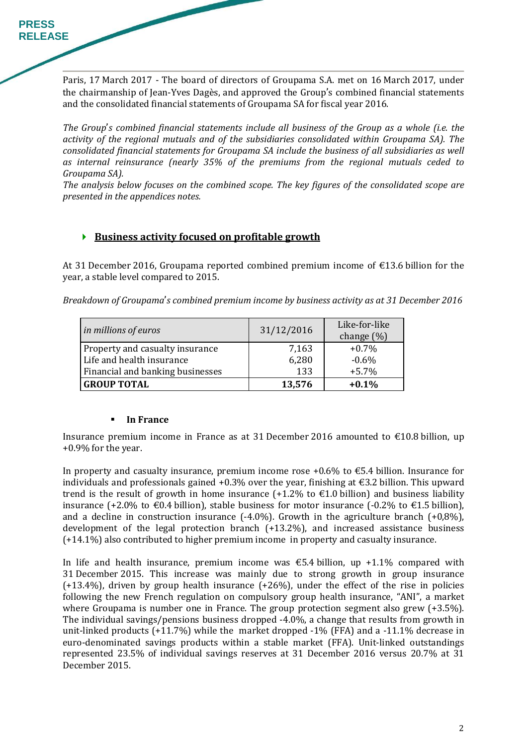Paris, 17 March 2017 - The board of directors of Groupama S.A. met on 16 March 2017, under the chairmanship of Jean-Yves Dagès, and approved the Group's combined financial statements and the consolidated financial statements of Groupama SA for fiscal year 2016.

*The Group*'*s combined financial statements include all business of the Group as a whole (i.e. the activity of the regional mutuals and of the subsidiaries consolidated within Groupama SA). The consolidated financial statements for Groupama SA include the business of all subsidiaries as well as internal reinsurance (nearly 35% of the premiums from the regional mutuals ceded to Groupama SA).* 

*The analysis below focuses on the combined scope. The key figures of the consolidated scope are presented in the appendices notes.* 

### **Business activity focused on profitable growth**

At 31 December 2016, Groupama reported combined premium income of €13.6 billion for the year, a stable level compared to 2015.

*Breakdown of Groupama*'*s combined premium income by business activity as at 31 December 2016* 

| in millions of euros             | 31/12/2016 | Like-for-like<br>change $(\%)$ |
|----------------------------------|------------|--------------------------------|
| Property and casualty insurance  | 7,163      | $+0.7\%$                       |
| Life and health insurance        | 6,280      | $-0.6%$                        |
| Financial and banking businesses | 133        | $+5.7%$                        |
| <b>GROUP TOTAL</b>               | 13,576     | $+0.1%$                        |

### **In France**

Insurance premium income in France as at 31 December 2016 amounted to  $\epsilon$ 10.8 billion, up +0.9% for the year.

In property and casualty insurance, premium income rose +0.6% to  $\epsilon$ 5.4 billion. Insurance for individuals and professionals gained  $+0.3\%$  over the year, finishing at  $\epsilon$ 3.2 billion. This upward trend is the result of growth in home insurance  $(+1.2\%$  to  $\epsilon$ 1.0 billion) and business liability insurance (+2.0% to €0.4 billion), stable business for motor insurance (-0.2% to €1.5 billion), and a decline in construction insurance  $(-4.0\%)$ . Growth in the agriculture branch  $(+0.8\%)$ , development of the legal protection branch (+13.2%), and increased assistance business (+14.1%) also contributed to higher premium income in property and casualty insurance.

In life and health insurance, premium income was  $\epsilon$ 5.4 billion, up +1.1% compared with 31 December 2015. This increase was mainly due to strong growth in group insurance (+13.4%), driven by group health insurance (+26%), under the effect of the rise in policies following the new French regulation on compulsory group health insurance, "ANI", a market where Groupama is number one in France. The group protection segment also grew (+3.5%). The individual savings/pensions business dropped -4.0%, a change that results from growth in unit-linked products (+11.7%) while the market dropped -1% (FFA) and a -11.1% decrease in euro-denominated savings products within a stable market (FFA). Unit-linked outstandings represented 23.5% of individual savings reserves at 31 December 2016 versus 20.7% at 31 December 2015.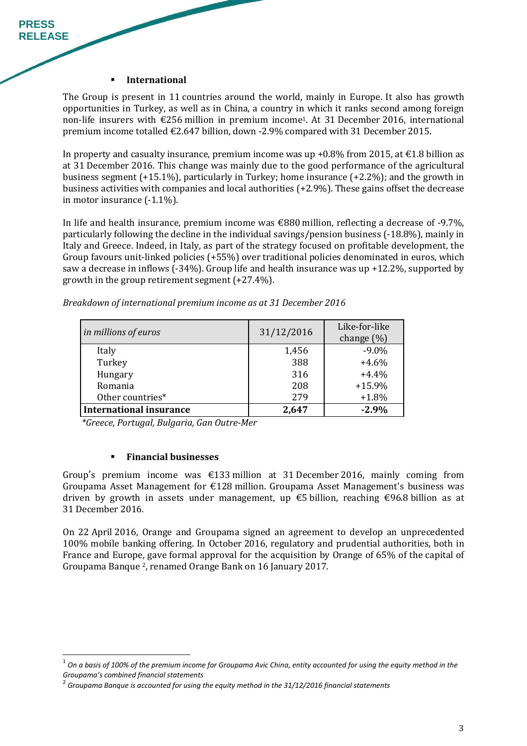#### **International**

**PRESS RELEASE** 

> The Group is present in 11 countries around the world, mainly in Europe. It also has growth opportunities in Turkey, as well as in China, a country in which it ranks second among foreign non-life insurers with  $\epsilon$ 256 million in premium income<sup>1</sup>. At 31 December 2016, international premium income totalled €2.647 billion, down -2.9% compared with 31 December 2015.

> In property and casualty insurance, premium income was up +0.8% from 2015, at  $\epsilon$ 1.8 billion as at 31 December 2016. This change was mainly due to the good performance of the agricultural business segment (+15.1%), particularly in Turkey; home insurance (+2.2%); and the growth in business activities with companies and local authorities (+2.9%). These gains offset the decrease in motor insurance (-1.1%).

> In life and health insurance, premium income was €880 million, reflecting a decrease of -9.7%, particularly following the decline in the individual savings/pension business (-18.8%), mainly in Italy and Greece. Indeed, in Italy, as part of the strategy focused on profitable development, the Group favours unit-linked policies (+55%) over traditional policies denominated in euros, which saw a decrease in inflows (-34%). Group life and health insurance was up +12.2%, supported by growth in the group retirement segment (+27.4%).

| in millions of euros           | 31/12/2016 | Like-for-like<br>change $(\%)$ |
|--------------------------------|------------|--------------------------------|
| Italy                          | 1,456      | $-9.0\%$                       |
| Turkey                         | 388        | $+4.6%$                        |
| Hungary                        | 316        | $+4.4%$                        |
| Romania                        | 208        | $+15.9%$                       |
| Other countries*               | 279        | $+1.8%$                        |
| <b>International insurance</b> | 2,647      | $-2.9%$                        |

*Breakdown of international premium income as at 31 December 2016* 

*\*Greece, Portugal, Bulgaria, Gan Outre-Mer* 

#### **Financial businesses**

 $\overline{a}$ 

Group's premium income was  $\epsilon$ 133 million at 31 December 2016, mainly coming from Groupama Asset Management for €128 million. Groupama Asset Management's business was driven by growth in assets under management, up  $\epsilon$ 5 billion, reaching  $\epsilon$ 96.8 billion as at 31 December 2016.

On 22 April 2016, Orange and Groupama signed an agreement to develop an unprecedented 100% mobile banking offering. In October 2016, regulatory and prudential authorities, both in France and Europe, gave formal approval for the acquisition by Orange of 65% of the capital of Groupama Banque 2, renamed Orange Bank on 16 January 2017.

<sup>&</sup>lt;sup>1</sup> On a basis of 100% of the premium income for Groupama Avic China, entity accounted for using the equity method in the *Groupama's combined financial statements* 2

*Groupama Banque is accounted for using the equity method in the 31/12/2016 financial statements*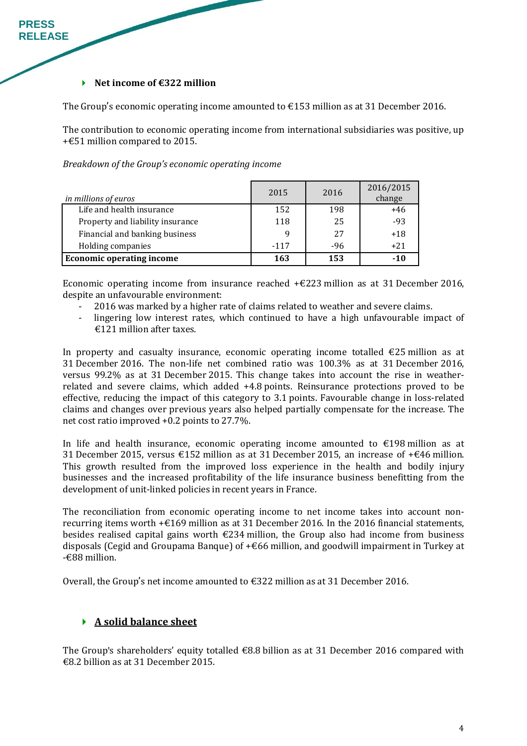#### **Net income of €322 million**

**PRESS RELEASE** 

The Group's economic operating income amounted to  $\epsilon$ 153 million as at 31 December 2016.

The contribution to economic operating income from international subsidiaries was positive, up +€51 million compared to 2015.

*Breakdown of the Group's economic operating income* 

| in millions of euros             | 2015   | 2016  | 2016/2015<br>change |
|----------------------------------|--------|-------|---------------------|
| Life and health insurance        | 152    | 198   | $+46$               |
| Property and liability insurance | 118    | 25    | $-93$               |
| Financial and banking business   | q      | 27    | $+18$               |
| Holding companies                | $-117$ | $-96$ | $+21$               |
| <b>Economic operating income</b> | 163    | 153   | $-10$               |

Economic operating income from insurance reached  $+\epsilon$ 223 million as at 31 December 2016, despite an unfavourable environment:

- 2016 was marked by a higher rate of claims related to weather and severe claims.
- lingering low interest rates, which continued to have a high unfavourable impact of €121 million after taxes.

In property and casualty insurance, economic operating income totalled  $\epsilon$ 25 million as at 31 December 2016. The non-life net combined ratio was 100.3% as at 31 December 2016, versus 99.2% as at 31 December 2015. This change takes into account the rise in weatherrelated and severe claims, which added +4.8 points. Reinsurance protections proved to be effective, reducing the impact of this category to 3.1 points. Favourable change in loss-related claims and changes over previous years also helped partially compensate for the increase. The net cost ratio improved +0.2 points to 27.7%.

In life and health insurance, economic operating income amounted to  $\epsilon$ 198 million as at 31 December 2015, versus  $\epsilon$ 152 million as at 31 December 2015, an increase of + $\epsilon$ 46 million. This growth resulted from the improved loss experience in the health and bodily injury businesses and the increased profitability of the life insurance business benefitting from the development of unit-linked policies in recent years in France.

The reconciliation from economic operating income to net income takes into account nonrecurring items worth +€169 million as at 31 December 2016. In the 2016 financial statements, besides realised capital gains worth  $\epsilon$ 234 million, the Group also had income from business disposals (Cegid and Groupama Banque) of +€66 million, and goodwill impairment in Turkey at -€88 million.

Overall, the Group's net income amounted to  $\text{\textsterling}322$  million as at 31 December 2016.

### **A solid balance sheet**

The Group**'**s shareholders' equity totalled €8.8 billion as at 31 December 2016 compared with €8.2 billion as at 31 December 2015.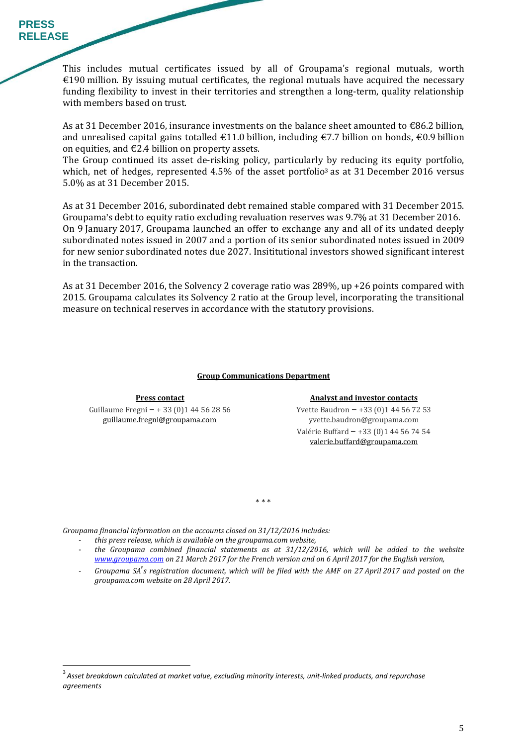This includes mutual certificates issued by all of Groupama's regional mutuals, worth  $€190$  million. By issuing mutual certificates, the regional mutuals have acquired the necessary funding flexibility to invest in their territories and strengthen a long-term, quality relationship with members based on trust.

As at 31 December 2016, insurance investments on the balance sheet amounted to €86.2 billion, and unrealised capital gains totalled  $\epsilon$ 11.0 billion, including  $\epsilon$ 7.7 billion on bonds,  $\epsilon$ 0.9 billion on equities, and  $E2.4$  billion on property assets.

The Group continued its asset de-risking policy, particularly by reducing its equity portfolio, which, net of hedges, represented  $4.5\%$  of the asset portfolio<sup>3</sup> as at 31 December 2016 versus 5.0% as at 31 December 2015.

As at 31 December 2016, subordinated debt remained stable compared with 31 December 2015. Groupama**'**s debt to equity ratio excluding revaluation reserves was 9.7% at 31 December 2016. On 9 January 2017, Groupama launched an offer to exchange any and all of its undated deeply subordinated notes issued in 2007 and a portion of its senior subordinated notes issued in 2009 for new senior subordinated notes due 2027. Insititutional investors showed significant interest in the transaction.

As at 31 December 2016, the Solvency 2 coverage ratio was 289%, up +26 points compared with 2015. Groupama calculates its Solvency 2 ratio at the Group level, incorporating the transitional measure on technical reserves in accordance with the statutory provisions.

#### **Group Communications Department**

Guillaume Fregni – + 33 (0)1 44 56 28 56 guillaume.fregni@groupama.com

 $\overline{a}$ 

#### **Press contact Analyst and investor contacts**

Yvette Baudron – +33 (0)1 44 56 72 53 yvette.baudron@groupama.com Valérie Buffard – +33 (0)1 44 56 74 54 valerie.buffard@groupama.com

\* \* \*

*Groupama financial information on the accounts closed on 31/12/2016 includes:* 

- *this press release, which is available on the groupama.com website,*
- *the Groupama combined financial statements as at 31/12/2016, which will be added to the website www.groupama.com on 21 March 2017 for the French version and on 6 April 2017 for the English version,*
- *Groupama SA*'*s registration document, which will be filed with the AMF on 27 April 2017 and posted on the groupama.com website on 28 April 2017.*

<sup>3</sup>*Asset breakdown calculated at market value, excluding minority interests, unit-linked products, and repurchase agreements*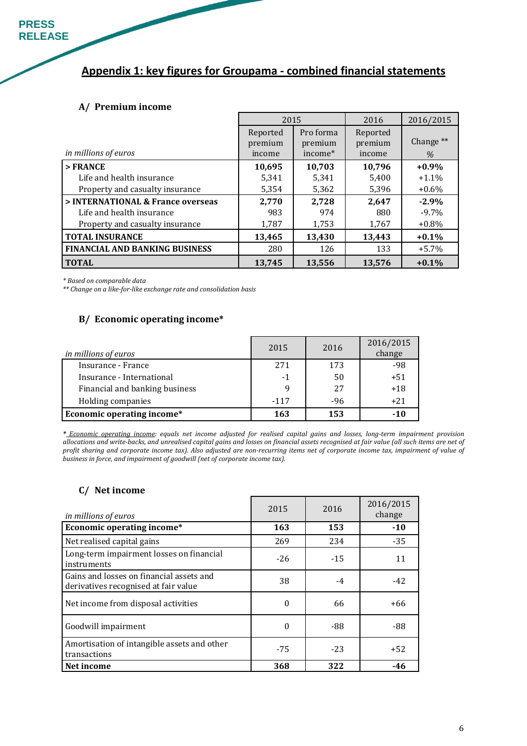# **Appendix 1: key figures for Groupama - combined financial statements**

#### **A/ Premium income**

|                                       | 2015                          |                                             | 2016                          | 2016/2015                    |
|---------------------------------------|-------------------------------|---------------------------------------------|-------------------------------|------------------------------|
| in millions of euros                  | Reported<br>premium<br>income | Pro forma<br>premium<br>income <sup>*</sup> | Reported<br>premium<br>income | Change <sup>**</sup><br>$\%$ |
| $>$ FRANCE                            | 10,695                        | 10,703                                      | 10.796                        | $+0.9\%$                     |
| Life and health insurance             | 5,341                         | 5,341                                       | 5,400                         | $+1.1\%$                     |
| Property and casualty insurance       | 5,354                         | 5,362                                       | 5,396                         | $+0.6\%$                     |
| > INTERNATIONAL & France overseas     | 2,770                         | 2,728                                       | 2,647                         | $-2.9%$                      |
| Life and health insurance             | 983                           | 974                                         | 880                           | $-9.7\%$                     |
| Property and casualty insurance       | 1,787                         | 1,753                                       | 1,767                         | $+0.8\%$                     |
| <b>TOTAL INSURANCE</b>                | 13,465                        | 13,430                                      | 13,443                        | $+0.1%$                      |
| <b>FINANCIAL AND BANKING BUSINESS</b> | 280                           | 126                                         | 133                           | $+5.7\%$                     |
| <b>TOTAL</b>                          | 13.745                        | 13.556                                      | 13.576                        | $+0.1%$                      |

*\* Based on comparable data* 

*\*\* Change on a like-for-like exchange rate and consolidation basis* 

#### **B/ Economic operating income\***

| in millions of euros           | 2015   | 2016  | 2016/2015<br>change |
|--------------------------------|--------|-------|---------------------|
| Insurance - France             | 271    | 173   | -98                 |
| Insurance - International      | $-1$   | 50    | $+51$               |
| Financial and banking business |        | 27    | $+18$               |
| Holding companies              | $-117$ | $-96$ | $+21$               |
| Economic operating income*     | 163    | 153   | $-10$               |

*\* Economic operating income: equals net income adjusted for realised capital gains and losses, long-term impairment provision allocations and write-backs, and unrealised capital gains and losses on financial assets recognised at fair value (all such items are net of profit sharing and corporate income tax). Also adjusted are non-recurring items net of corporate income tax, impairment of value of business in force, and impairment of goodwill (net of corporate income tax).* 

#### **C/ Net income**

| <i>in millions of euros</i>                                                      | 2015  | 2016  | 2016/2015<br>change |
|----------------------------------------------------------------------------------|-------|-------|---------------------|
| Economic operating income*                                                       | 163   | 153   | $-10$               |
| Net realised capital gains                                                       | 269   | 234   | $-35$               |
| Long-term impairment losses on financial<br>instruments                          | $-26$ | $-15$ | 11                  |
| Gains and losses on financial assets and<br>derivatives recognised at fair value | 38    | $-4$  | $-42$               |
| Net income from disposal activities                                              | 0     | 66    | +66                 |
| Goodwill impairment                                                              | 0     | -88   | -88                 |
| Amortisation of intangible assets and other<br>transactions                      | $-75$ | $-23$ | $+52$               |
| Net income                                                                       | 368   | 322   | -46                 |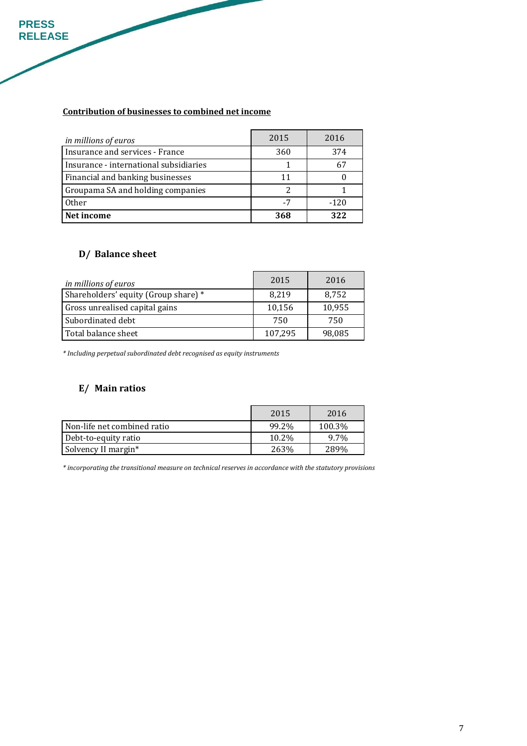## **Contribution of businesses to combined net income**

| <i>in millions of euros</i>            | 2015 | 2016   |
|----------------------------------------|------|--------|
| Insurance and services - France        | 360  | 374    |
| Insurance - international subsidiaries |      |        |
| Financial and banking businesses       | 11   |        |
| Groupama SA and holding companies      |      |        |
| Other                                  | -7   | $-120$ |
| Net income                             | 368  | 322    |

## **D/ Balance sheet**

**PRESS RELEASE** 

| in millions of euros                 | 2015    | 2016   |
|--------------------------------------|---------|--------|
| Shareholders' equity (Group share) * | 8,219   | 8,752  |
| Gross unrealised capital gains       | 10,156  | 10,955 |
| Subordinated debt                    | 750     | 750    |
| Total balance sheet                  | 107,295 | 98,085 |

*\* Including perpetual subordinated debt recognised as equity instruments* 

## **E/ Main ratios**

|                             | 2015  | 2016   |
|-----------------------------|-------|--------|
| Non-life net combined ratio | 99.2% | 100.3% |
| Debt-to-equity ratio        | 10.2% | 9.7%   |
| Solvency II margin*         | 263%  | 289%   |

*\* incorporating the transitional measure on technical reserves in accordance with the statutory provisions*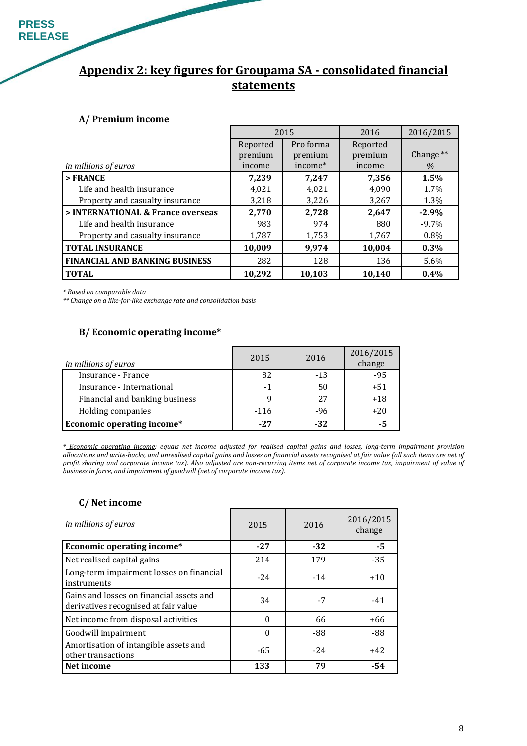# **Appendix 2: key figures for Groupama SA - consolidated financial statements**

### **A/ Premium income**

|                                       |          | 2015                | 2016     | 2016/2015 |
|---------------------------------------|----------|---------------------|----------|-----------|
|                                       | Reported | Pro forma           | Reported |           |
|                                       | premium  | premium             | premium  | Change ** |
| <i>in millions of euros</i>           | income   | income <sup>*</sup> | income   | %         |
| $>$ FRANCE                            | 7,239    | 7,247               | 7,356    | 1.5%      |
| Life and health insurance             | 4,021    | 4.021               | 4.090    | 1.7%      |
| Property and casualty insurance       | 3,218    | 3,226               | 3,267    | 1.3%      |
| > INTERNATIONAL & France overseas     | 2,770    | 2,728               | 2,647    | $-2.9%$   |
| Life and health insurance             | 983      | 974                 | 880      | $-9.7\%$  |
| Property and casualty insurance       | 1,787    | 1,753               | 1,767    | 0.8%      |
| <b>TOTAL INSURANCE</b>                | 10,009   | 9.974               | 10,004   | 0.3%      |
| <b>FINANCIAL AND BANKING BUSINESS</b> | 282      | 128                 | 136      | 5.6%      |
| <b>TOTAL</b>                          | 10.292   | 10.103              | 10.140   | $0.4\%$   |

*\* Based on comparable data* 

*\*\* Change on a like-for-like exchange rate and consolidation basis* 

#### **B/ Economic operating income\***

| in millions of euros              | 2015  | 2016  | 2016/2015<br>change |
|-----------------------------------|-------|-------|---------------------|
| Insurance - France                | 82    | $-13$ | $-95$               |
| Insurance - International         | $-1$  | 50    | $+51$               |
| Financial and banking business    |       | 27    | $+18$               |
| Holding companies                 | -116  | $-96$ | $+20$               |
| <b>Economic operating income*</b> | $-27$ | $-32$ | -5                  |

*\* Economic operating income: equals net income adjusted for realised capital gains and losses, long-term impairment provision allocations and write-backs, and unrealised capital gains and losses on financial assets recognised at fair value (all such items are net of profit sharing and corporate income tax). Also adjusted are non-recurring items net of corporate income tax, impairment of value of business in force, and impairment of goodwill (net of corporate income tax).* 

#### **C/ Net income**

| in millions of euros                                                             | 2015  | 2016  | 2016/2015<br>change |
|----------------------------------------------------------------------------------|-------|-------|---------------------|
| Economic operating income*                                                       | $-27$ | $-32$ | -5                  |
| Net realised capital gains                                                       | 214   | 179   | $-35$               |
| Long-term impairment losses on financial<br>instruments                          | $-24$ | $-14$ | $+10$               |
| Gains and losses on financial assets and<br>derivatives recognised at fair value | 34    | $-7$  | $-41$               |
| Net income from disposal activities                                              | 0     | 66    | $+66$               |
| Goodwill impairment                                                              | 0     | -88   | -88                 |
| Amortisation of intangible assets and<br>other transactions                      | -65   | $-24$ | $+42$               |
| Net income                                                                       | 133   | 79    | -54                 |